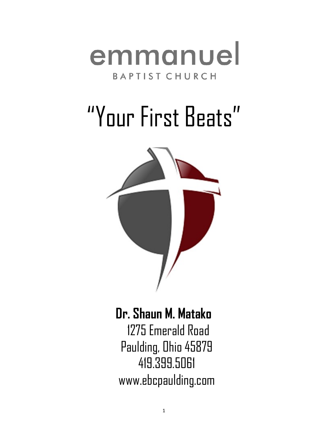

# "Your First Beats"



## **Dr. Shaun M. Matako**

 1275 Emerald Road Paulding, Ohio 45879 419.399.5061 www.ebcpaulding.com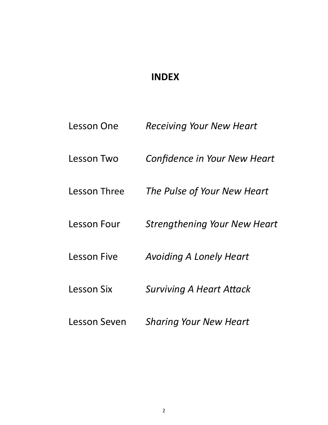## **INDEX**

| Lesson One         | <b>Receiving Your New Heart</b>     |
|--------------------|-------------------------------------|
| Lesson Two         | <b>Confidence in Your New Heart</b> |
| Lesson Three       | The Pulse of Your New Heart         |
| Lesson Four        | <b>Strengthening Your New Heart</b> |
| <b>Lesson Five</b> | <b>Avoiding A Lonely Heart</b>      |
| Lesson Six         | <b>Surviving A Heart Attack</b>     |
| Lesson Seven       | <b>Sharing Your New Heart</b>       |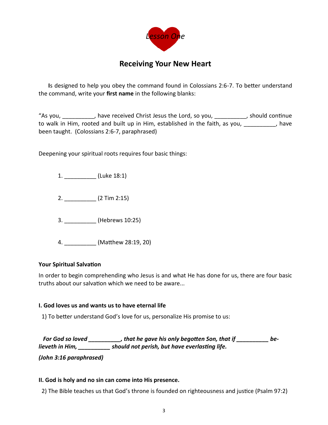

### **Receiving Your New Heart**

**I**s designed to help you obey the command found in Colossians 2:6-7. To better understand the command, write your **first name** in the following blanks:

"As you, \_\_\_\_\_\_\_\_\_\_, have received Christ Jesus the Lord, so you, \_\_\_\_\_\_\_\_\_\_, should continue to walk in Him, rooted and built up in Him, established in the faith, as you, \_\_\_\_\_\_\_\_\_\_, have been taught. (Colossians 2:6-7, paraphrased)

Deepening your spiritual roots requires four basic things:

1. \_\_\_\_\_\_\_\_\_\_ (Luke 18:1)

2. \_\_\_\_\_\_\_\_\_\_ (2 Tim 2:15)

3. \_\_\_\_\_\_\_\_\_\_ (Hebrews 10:25)

4. \_\_\_\_\_\_\_\_\_\_ (Matthew 28:19, 20)

#### **Your Spiritual Salvation**

In order to begin comprehending who Jesus is and what He has done for us, there are four basic truths about our salvation which we need to be aware...

#### **I. God loves us and wants us to have eternal life**

1) To better understand God's love for us, personalize His promise to us:

 *For God so loved \_\_\_\_\_\_\_\_\_\_, that he gave his only begotten Son, that if \_\_\_\_\_\_\_\_\_\_ believeth in Him, \_\_\_\_\_\_\_\_\_\_ should not perish, but have everlasting life.* 

*(John 3:16 paraphrased)*

#### **II. God is holy and no sin can come into His presence.**

2) The Bible teaches us that God's throne is founded on righteousness and justice (Psalm 97:2)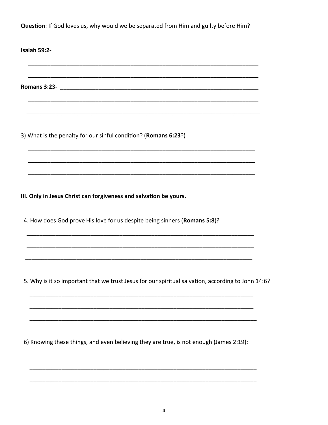Question: If God loves us, why would we be separated from Him and guilty before Him?

Isaiah 59:2-8 and 2012 and 2012 and 2012 and 2012 and 2012 and 2012 and 2012 and 2012 and 2012 and 2012 and 20

Romans 3:23-<br>
<u>
</u>

3) What is the penalty for our sinful condition? (Romans 6:23?)

III. Only in Jesus Christ can forgiveness and salvation be yours.

4. How does God prove His love for us despite being sinners (Romans 5:8)?

5. Why is it so important that we trust Jesus for our spiritual salvation, according to John 14:6?

6) Knowing these things, and even believing they are true, is not enough (James 2:19):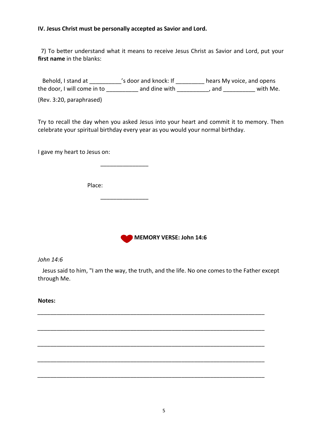#### **IV. Jesus Christ must be personally accepted as Savior and Lord.**

 7) To better understand what it means to receive Jesus Christ as Savior and Lord, put your **first name** in the blanks:

Behold, I stand at \_\_\_\_\_\_\_\_\_\_\_'s door and knock: If \_\_\_\_\_\_\_\_\_\_ hears My voice, and opens the door, I will come in to do and dine with the set of and state in the set of the door, I with Me.

(Rev. 3:20, paraphrased)

Try to recall the day when you asked Jesus into your heart and commit it to memory. Then celebrate your spiritual birthday every year as you would your normal birthday.

I gave my heart to Jesus on:

Place:

 $\overline{\phantom{a}}$  , and the contract of the contract of the contract of the contract of the contract of the contract of the contract of the contract of the contract of the contract of the contract of the contract of the contrac

 $\overline{\phantom{a}}$  ,  $\overline{\phantom{a}}$  ,  $\overline{\phantom{a}}$  ,  $\overline{\phantom{a}}$  ,  $\overline{\phantom{a}}$  ,  $\overline{\phantom{a}}$  ,  $\overline{\phantom{a}}$  ,  $\overline{\phantom{a}}$  ,  $\overline{\phantom{a}}$  ,  $\overline{\phantom{a}}$  ,  $\overline{\phantom{a}}$  ,  $\overline{\phantom{a}}$  ,  $\overline{\phantom{a}}$  ,  $\overline{\phantom{a}}$  ,  $\overline{\phantom{a}}$  ,  $\overline{\phantom{a}}$ 



*John 14:6*

 Jesus said to him, "I am the way, the truth, and the life. No one comes to the Father except through Me.

*\_\_\_\_\_\_\_\_\_\_\_\_\_\_\_\_\_\_\_\_\_\_\_\_\_\_\_\_\_\_\_\_\_\_\_\_\_\_\_\_\_\_\_\_\_\_\_\_\_\_\_\_\_\_\_\_\_\_\_\_\_\_\_\_\_\_\_\_\_\_\_*

*\_\_\_\_\_\_\_\_\_\_\_\_\_\_\_\_\_\_\_\_\_\_\_\_\_\_\_\_\_\_\_\_\_\_\_\_\_\_\_\_\_\_\_\_\_\_\_\_\_\_\_\_\_\_\_\_\_\_\_\_\_\_\_\_\_\_\_\_\_\_\_*

*\_\_\_\_\_\_\_\_\_\_\_\_\_\_\_\_\_\_\_\_\_\_\_\_\_\_\_\_\_\_\_\_\_\_\_\_\_\_\_\_\_\_\_\_\_\_\_\_\_\_\_\_\_\_\_\_\_\_\_\_\_\_\_\_\_\_\_\_\_\_\_*

*\_\_\_\_\_\_\_\_\_\_\_\_\_\_\_\_\_\_\_\_\_\_\_\_\_\_\_\_\_\_\_\_\_\_\_\_\_\_\_\_\_\_\_\_\_\_\_\_\_\_\_\_\_\_\_\_\_\_\_\_\_\_\_\_\_\_\_\_\_\_\_*

*\_\_\_\_\_\_\_\_\_\_\_\_\_\_\_\_\_\_\_\_\_\_\_\_\_\_\_\_\_\_\_\_\_\_\_\_\_\_\_\_\_\_\_\_\_\_\_\_\_\_\_\_\_\_\_\_\_\_\_\_\_\_\_\_\_\_\_\_\_\_\_*

**Notes:**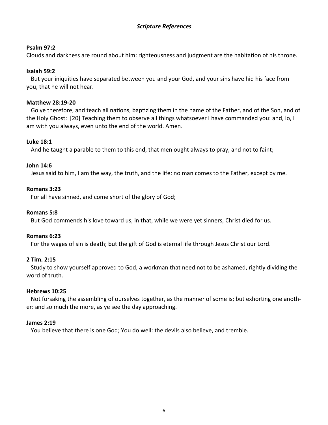#### *Scripture References*

#### **Psalm 97:2**

Clouds and darkness are round about him: righteousness and judgment are the habitation of his throne.

#### **Isaiah 59:2**

 But your iniquities have separated between you and your God, and your sins have hid his face from you, that he will not hear.

#### **Matthew 28:19-20**

 Go ye therefore, and teach all nations, baptizing them in the name of the Father, and of the Son, and of the Holy Ghost: [20] Teaching them to observe all things whatsoever I have commanded you: and, lo, I am with you always, even unto the end of the world. Amen.

#### **Luke 18:1**

And he taught a parable to them to this end, that men ought always to pray, and not to faint;

#### **John 14:6**

Jesus said to him, I am the way, the truth, and the life: no man comes to the Father, except by me.

#### **Romans 3:23**

For all have sinned, and come short of the glory of God;

#### **Romans 5:8**

But God commends his love toward us, in that, while we were yet sinners, Christ died for us.

#### **Romans 6:23**

For the wages of sin is death; but the gift of God is eternal life through Jesus Christ our Lord.

#### **2 Tim. 2:15**

 Study to show yourself approved to God, a workman that need not to be ashamed, rightly dividing the word of truth.

#### **Hebrews 10:25**

 Not forsaking the assembling of ourselves together, as the manner of some is; but exhorting one another: and so much the more, as ye see the day approaching.

#### **James 2:19**

You believe that there is one God; You do well: the devils also believe, and tremble.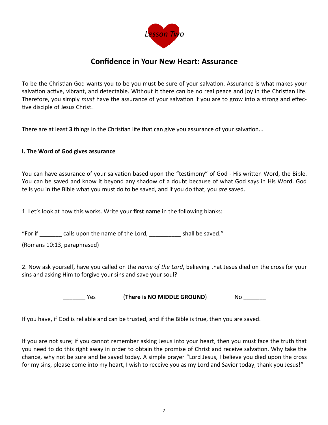

### **Confidence in Your New Heart: Assurance**

To be the Christian God wants you to be you must be sure of your salvation. Assurance is what makes your salvation active, vibrant, and detectable. Without it there can be no real peace and joy in the Christian life. Therefore, you simply *must* have the assurance of your salvation if you are to grow into a strong and effective disciple of Jesus Christ.

There are at least **3** things in the Christian life that can give you assurance of your salvation...

#### **I. The Word of God gives assurance**

You can have assurance of your salvation based upon the "testimony" of God - His written Word, the Bible. You can be saved and know it beyond any shadow of a doubt because of what God says in His Word. God tells you in the Bible what you must do to be saved, and if you do that, you *are* saved.

1. Let's look at how this works. Write your **first name** in the following blanks:

"For if \_\_\_\_\_\_\_ calls upon the name of the Lord, \_\_\_\_\_\_\_\_\_\_ shall be saved."

(Romans 10:13, paraphrased)

2. Now ask yourself, have you called on the *name of the Lord*, believing that Jesus died on the cross for your sins and asking Him to forgive your sins and save your soul?

Yes **(There is NO MIDDLE GROUND)** No

If you have, if God is reliable and can be trusted, and if the Bible is true, then you are saved.

If you are not sure; if you cannot remember asking Jesus into your heart, then you must face the truth that you need to do this right away in order to obtain the promise of Christ and receive salvation. Why take the chance, why not be sure and be saved today. A simple prayer "Lord Jesus, I believe you died upon the cross for my sins, please come into my heart, I wish to receive you as my Lord and Savior today, thank you Jesus!"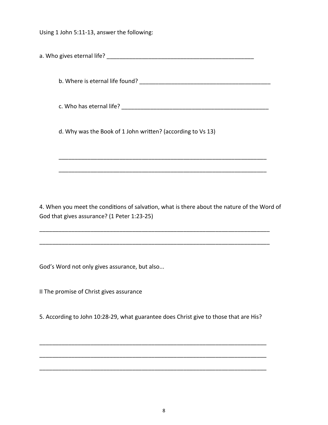Using 1 John 5:11-13, answer the following:

a. Who gives eternal life? **Example 20** and the set of the set of the set of the set of the set of the set of the

b. Where is eternal life found? \_\_\_\_\_\_\_\_\_\_\_\_\_\_\_\_\_\_\_\_\_\_\_\_\_\_\_\_\_\_\_\_\_\_\_\_\_\_\_\_\_

c. Who has eternal life? \_\_\_\_\_\_\_\_\_\_\_\_\_\_\_\_\_\_\_\_\_\_\_\_\_\_\_\_\_\_\_\_\_\_\_\_\_\_\_\_\_\_\_\_\_\_

\_\_\_\_\_\_\_\_\_\_\_\_\_\_\_\_\_\_\_\_\_\_\_\_\_\_\_\_\_\_\_\_\_\_\_\_\_\_\_\_\_\_\_\_\_\_\_\_\_\_\_\_\_\_\_\_\_\_\_\_\_\_\_\_\_

\_\_\_\_\_\_\_\_\_\_\_\_\_\_\_\_\_\_\_\_\_\_\_\_\_\_\_\_\_\_\_\_\_\_\_\_\_\_\_\_\_\_\_\_\_\_\_\_\_\_\_\_\_\_\_\_\_\_\_\_\_\_\_\_\_

d. Why was the Book of 1 John written? (according to Vs 13)

4. When you meet the conditions of salvation, what is there about the nature of the Word of God that gives assurance? (1 Peter 1:23-25)

\_\_\_\_\_\_\_\_\_\_\_\_\_\_\_\_\_\_\_\_\_\_\_\_\_\_\_\_\_\_\_\_\_\_\_\_\_\_\_\_\_\_\_\_\_\_\_\_\_\_\_\_\_\_\_\_\_\_\_\_\_\_\_\_\_\_\_\_\_\_\_\_

\_\_\_\_\_\_\_\_\_\_\_\_\_\_\_\_\_\_\_\_\_\_\_\_\_\_\_\_\_\_\_\_\_\_\_\_\_\_\_\_\_\_\_\_\_\_\_\_\_\_\_\_\_\_\_\_\_\_\_\_\_\_\_\_\_\_\_\_\_\_\_\_

God's Word not only gives assurance, but also...

II The promise of Christ gives assurance

5. According to John 10:28-29, what guarantee does Christ give to those that are His?

\_\_\_\_\_\_\_\_\_\_\_\_\_\_\_\_\_\_\_\_\_\_\_\_\_\_\_\_\_\_\_\_\_\_\_\_\_\_\_\_\_\_\_\_\_\_\_\_\_\_\_\_\_\_\_\_\_\_\_\_\_\_\_\_\_\_\_\_\_\_\_

\_\_\_\_\_\_\_\_\_\_\_\_\_\_\_\_\_\_\_\_\_\_\_\_\_\_\_\_\_\_\_\_\_\_\_\_\_\_\_\_\_\_\_\_\_\_\_\_\_\_\_\_\_\_\_\_\_\_\_\_\_\_\_\_\_\_\_\_\_\_\_

\_\_\_\_\_\_\_\_\_\_\_\_\_\_\_\_\_\_\_\_\_\_\_\_\_\_\_\_\_\_\_\_\_\_\_\_\_\_\_\_\_\_\_\_\_\_\_\_\_\_\_\_\_\_\_\_\_\_\_\_\_\_\_\_\_\_\_\_\_\_\_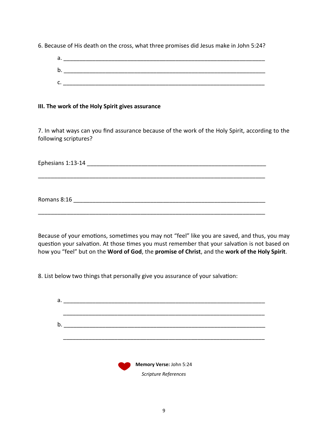6. Because of His death on the cross, what three promises did Jesus make in John 5:24?

| а.      |  |
|---------|--|
| b.      |  |
| -<br>J. |  |

#### **III. The work of the Holy Spirit gives assurance**

7. In what ways can you find assurance because of the work of the Holy Spirit, according to the following scriptures?

Ephesians 1:13-14 **Exercises** 

\_\_\_\_\_\_\_\_\_\_\_\_\_\_\_\_\_\_\_\_\_\_\_\_\_\_\_\_\_\_\_\_\_\_\_\_\_\_\_\_\_\_\_\_\_\_\_\_\_\_\_\_\_\_\_\_\_\_\_\_\_\_\_\_\_\_\_\_\_\_\_

Romans 8:16 \_\_\_\_\_\_\_\_\_\_\_\_\_\_\_\_\_\_\_\_\_\_\_\_\_\_\_\_\_\_\_\_\_\_\_\_\_\_\_\_\_\_\_\_\_\_\_\_\_\_\_\_\_\_\_\_\_\_\_\_

\_\_\_\_\_\_\_\_\_\_\_\_\_\_\_\_\_\_\_\_\_\_\_\_\_\_\_\_\_\_\_\_\_\_\_\_\_\_\_\_\_\_\_\_\_\_\_\_\_\_\_\_\_\_\_\_\_\_\_\_\_\_\_\_\_\_\_\_\_\_\_

Because of your emotions, sometimes you may not "feel" like you are saved, and thus, you may question your salvation. At those times you must remember that your salvation is not based on how you "feel" but on the **Word of God**, the **promise of Christ**, and the **work of the Holy Spirit**.

8. List below two things that personally give you assurance of your salvation:

| а. |                              |
|----|------------------------------|
|    |                              |
|    |                              |
| b. |                              |
|    |                              |
|    |                              |
|    |                              |
|    |                              |
|    | Memory Verse: John 5:24<br>w |
|    | Scripture References         |
|    |                              |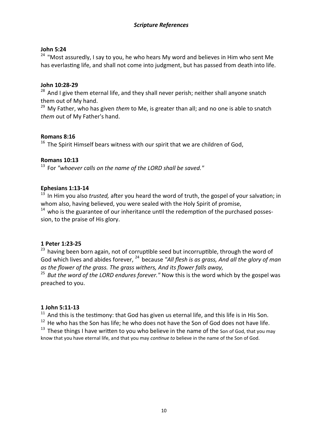#### **John 5:24**

<sup>24</sup> "Most assuredly, I say to you, he who hears My word and believes in Him who sent Me has everlasting life, and shall not come into judgment, but has passed from death into life.

#### **John 10:28-29**

 $28$  And I give them eternal life, and they shall never perish; neither shall anyone snatch them out of My hand.

<sup>29</sup> My Father, who has given *them* to Me, is greater than all; and no one is able to snatch *them* out of My Father's hand.

#### **Romans 8:16**

 $16$  The Spirit Himself bears witness with our spirit that we are children of God,

#### **Romans 10:13**

<sup>13</sup> For "whoever calls on the name of the LORD shall be saved."

#### **Ephesians 1:13-14**

<sup>13</sup> In Him you also *trusted,* after you heard the word of truth, the gospel of your salvation; in whom also, having believed, you were sealed with the Holy Spirit of promise,

 $14$  who is the guarantee of our inheritance until the redemption of the purchased possession, to the praise of His glory.

#### **1 Peter 1:23-25**

 $23$  having been born again, not of corruptible seed but incorruptible, through the word of God which lives and abides forever, <sup>24</sup> because "All flesh is as grass, And all the glory of man *as the flower of the grass. The grass withers, And its flower falls away,*

<sup>25</sup> But the word of the LORD endures forever." Now this is the word which by the gospel was preached to you.

#### **1 John 5:11-13**

 $11$  And this is the testimony: that God has given us eternal life, and this life is in His Son.

 $12$  He who has the Son has life; he who does not have the Son of God does not have life.

 $13$  These things I have written to you who believe in the name of the Son of God, that you may know that you have eternal life, and that you may *continue to* believe in the name of the Son of God.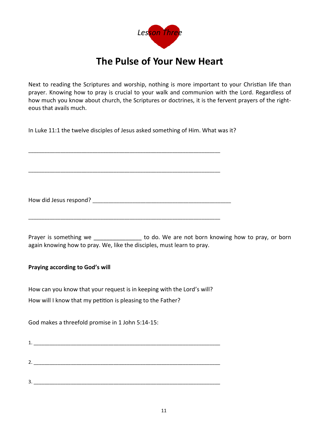

## **The Pulse of Your New Heart**

Next to reading the Scriptures and worship, nothing is more important to your Christian life than prayer. Knowing how to pray is crucial to your walk and communion with the Lord. Regardless of how much you know about church, the Scriptures or doctrines, it is the fervent prayers of the righteous that avails much.

In Luke 11:1 the twelve disciples of Jesus asked something of Him. What was it?

\_\_\_\_\_\_\_\_\_\_\_\_\_\_\_\_\_\_\_\_\_\_\_\_\_\_\_\_\_\_\_\_\_\_\_\_\_\_\_\_\_\_\_\_\_\_\_\_\_\_\_\_\_\_\_\_\_\_\_\_\_\_\_\_\_\_\_\_\_\_\_\_

\_\_\_\_\_\_\_\_\_\_\_\_\_\_\_\_\_\_\_\_\_\_\_\_\_\_\_\_\_\_\_\_\_\_\_\_\_\_\_\_\_\_\_\_\_\_\_\_\_\_\_\_\_\_\_\_\_\_\_\_\_\_\_\_\_\_\_\_\_\_\_\_

How did Jesus respond? \_\_\_\_\_\_\_\_\_\_\_\_\_\_\_\_\_\_\_\_\_\_\_\_\_\_\_\_\_\_\_\_\_\_\_\_\_\_\_\_\_\_\_\_\_\_\_\_\_\_\_\_

\_\_\_\_\_\_\_\_\_\_\_\_\_\_\_\_\_\_\_\_\_\_\_\_\_\_\_\_\_\_\_\_\_\_\_\_\_\_\_\_\_\_\_\_\_\_\_\_\_\_\_\_\_\_\_\_\_\_\_\_\_\_\_\_\_\_\_\_\_\_\_\_

Prayer is something we extended to do. We are not born knowing how to pray, or born again knowing how to pray. We, like the disciples, must learn to pray.

#### **Praying according to God's will**

How can you know that your request is in keeping with the Lord's will? How will I know that my petition is pleasing to the Father?

God makes a threefold promise in 1 John 5:14-15:

| 1.           |  |  |
|--------------|--|--|
|              |  |  |
|              |  |  |
| 2.           |  |  |
|              |  |  |
| $\mathbf{z}$ |  |  |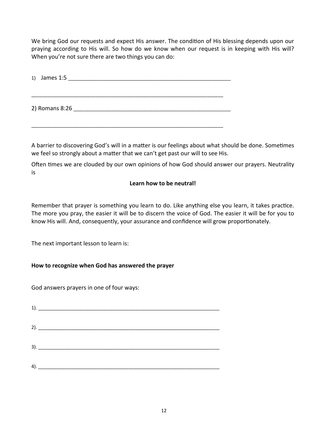We bring God our requests and expect His answer. The condition of His blessing depends upon our praying according to His will. So how do we know when our request is in keeping with His will? When you're not sure there are two things you can do:

| $1)$ James $1:5$ |  |  |  |
|------------------|--|--|--|
|                  |  |  |  |
| 2) Romans 8:26   |  |  |  |

\_\_\_\_\_\_\_\_\_\_\_\_\_\_\_\_\_\_\_\_\_\_\_\_\_\_\_\_\_\_\_\_\_\_\_\_\_\_\_\_\_\_\_\_\_\_\_\_\_\_\_\_\_\_\_\_\_\_\_\_\_\_\_\_\_\_\_\_\_\_\_\_

A barrier to discovering God's will in a matter is our feelings about what should be done. Sometimes we feel so strongly about a matter that we can't get past our will to see His.

Often times we are clouded by our own opinions of how God should answer our prayers. Neutrality is

#### **Learn how to be neutral!**

Remember that prayer is something you learn to do. Like anything else you learn, it takes practice. The more you pray, the easier it will be to discern the voice of God. The easier it will be for you to know His will. And, consequently, your assurance and confidence will grow proportionately.

The next important lesson to learn is:

#### **How to recognize when God has answered the prayer**

God answers prayers in one of four ways: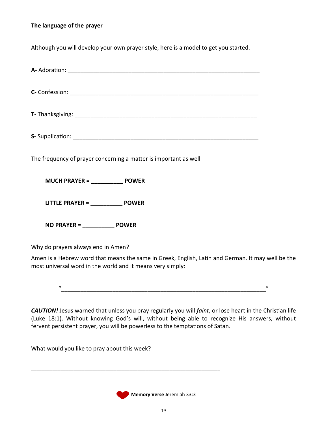#### **The language of the prayer**

Although you will develop your own prayer style, here is a model to get you started.

| The frequency of prayer concerning a matter is important as well |  |  |
|------------------------------------------------------------------|--|--|
| MUCH PRAYER = ________________ POWER                             |  |  |
|                                                                  |  |  |
| $NO$ PRAYER = $\rule{1em}{0.15mm}$ POWER                         |  |  |
| Why do prayers always end in Amen?                               |  |  |

Amen is a Hebrew word that means the same in Greek, English, Latin and German. It may well be the most universal word in the world and it means very simply:

 $\overline{u}$  and  $\overline{u}$  and  $\overline{u}$  and  $\overline{u}$  and  $\overline{u}$  and  $\overline{u}$  and  $\overline{u}$  and  $\overline{u}$  and  $\overline{u}$  and  $\overline{u}$  and  $\overline{u}$  and  $\overline{u}$  and  $\overline{u}$  and  $\overline{u}$  and  $\overline{u}$  and  $\overline{u}$  and  $\overline{u}$  and

*CAUTION!* Jesus warned that unless you pray regularly you will *faint*, or lose heart in the Christian life (Luke 18:1). Without knowing God's will, without being able to recognize His answers, without fervent persistent prayer, you will be powerless to the temptations of Satan.

What would you like to pray about this week?



\_\_\_\_\_\_\_\_\_\_\_\_\_\_\_\_\_\_\_\_\_\_\_\_\_\_\_\_\_\_\_\_\_\_\_\_\_\_\_\_\_\_\_\_\_\_\_\_\_\_\_\_\_\_\_\_\_\_\_\_\_\_\_\_\_\_\_\_\_\_\_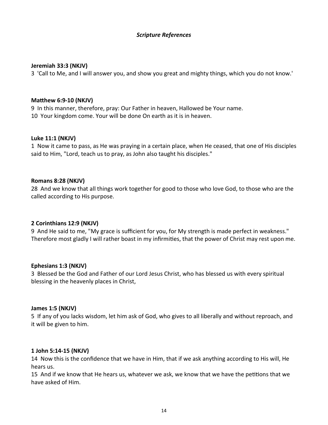#### *Scripture References*

#### **Jeremiah 33:3 (NKJV)**

3 'Call to Me, and I will answer you, and show you great and mighty things, which you do not know.'

#### **Matthew 6:9-10 (NKJV)**

9 In this manner, therefore, pray: Our Father in heaven, Hallowed be Your name. 10 Your kingdom come. Your will be done On earth as it is in heaven.

#### **Luke 11:1 (NKJV)**

1 Now it came to pass, as He was praying in a certain place, when He ceased, that one of His disciples said to Him, "Lord, teach us to pray, as John also taught his disciples."

#### **Romans 8:28 (NKJV)**

28 And we know that all things work together for good to those who love God, to those who are the called according to His purpose.

#### **2 Corinthians 12:9 (NKJV)**

9 And He said to me, "My grace is sufficient for you, for My strength is made perfect in weakness." Therefore most gladly I will rather boast in my infirmities, that the power of Christ may rest upon me.

#### **Ephesians 1:3 (NKJV)**

3 Blessed be the God and Father of our Lord Jesus Christ, who has blessed us with every spiritual blessing in the heavenly places in Christ,

#### **James 1:5 (NKJV)**

5 If any of you lacks wisdom, let him ask of God, who gives to all liberally and without reproach, and it will be given to him.

#### **1 John 5:14-15 (NKJV)**

14 Now this is the confidence that we have in Him, that if we ask anything according to His will, He hears us.

15 And if we know that He hears us, whatever we ask, we know that we have the petitions that we have asked of Him.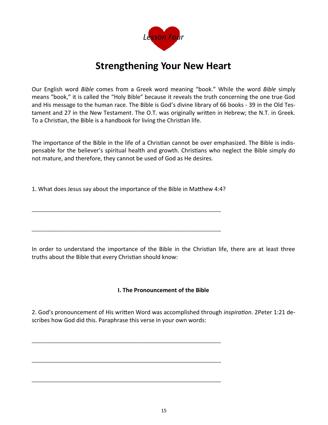

## **Strengthening Your New Heart**

Our English word *Bible* comes from a Greek word meaning "book." While the word *Bible* simply means "book," it is called the "Holy Bible" because it reveals the truth concerning the one true God and His message to the human race. The Bible is God's divine library of 66 books - 39 in the Old Testament and 27 in the New Testament. The O.T. was originally written in Hebrew; the N.T. in Greek. To a Christian, the Bible is a handbook for living the Christian life.

The importance of the Bible in the life of a Christian cannot be over emphasized. The Bible is indispensable for the believer's spiritual health and growth. Christians who neglect the Bible simply do not mature, and therefore, they cannot be used of God as He desires.

1. What does Jesus say about the importance of the Bible in Matthew 4:4?

\_\_\_\_\_\_\_\_\_\_\_\_\_\_\_\_\_\_\_\_\_\_\_\_\_\_\_\_\_\_\_\_\_\_\_\_\_\_\_\_\_\_\_\_\_\_\_\_\_\_\_\_\_\_\_\_\_\_\_\_\_\_\_\_\_\_\_\_\_\_\_

\_\_\_\_\_\_\_\_\_\_\_\_\_\_\_\_\_\_\_\_\_\_\_\_\_\_\_\_\_\_\_\_\_\_\_\_\_\_\_\_\_\_\_\_\_\_\_\_\_\_\_\_\_\_\_\_\_\_\_\_\_\_\_\_\_\_\_\_\_\_\_

\_\_\_\_\_\_\_\_\_\_\_\_\_\_\_\_\_\_\_\_\_\_\_\_\_\_\_\_\_\_\_\_\_\_\_\_\_\_\_\_\_\_\_\_\_\_\_\_\_\_\_\_\_\_\_\_\_\_\_\_\_\_\_\_\_\_\_\_\_\_\_

\_\_\_\_\_\_\_\_\_\_\_\_\_\_\_\_\_\_\_\_\_\_\_\_\_\_\_\_\_\_\_\_\_\_\_\_\_\_\_\_\_\_\_\_\_\_\_\_\_\_\_\_\_\_\_\_\_\_\_\_\_\_\_\_\_\_\_\_\_\_\_

\_\_\_\_\_\_\_\_\_\_\_\_\_\_\_\_\_\_\_\_\_\_\_\_\_\_\_\_\_\_\_\_\_\_\_\_\_\_\_\_\_\_\_\_\_\_\_\_\_\_\_\_\_\_\_\_\_\_\_\_\_\_\_\_\_\_\_\_\_\_\_

In order to understand the importance of the Bible in the Christian life, there are at least three truths about the Bible that every Christian should know:

#### **I. The Pronouncement of the Bible**

2. God's pronouncement of His written Word was accomplished through *inspiration*. 2Peter 1:21 describes how God did this. Paraphrase this verse in your own words: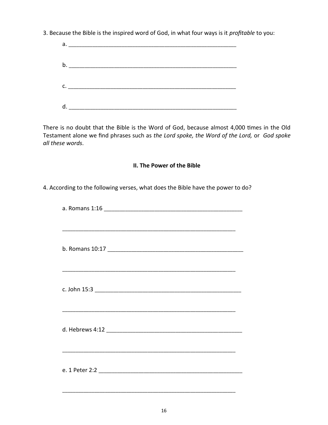3. Because the Bible is the inspired word of God, in what four ways is it profitable to you:

| $\mathsf{C.}$ $\qquad \qquad$ |  |
|-------------------------------|--|
|                               |  |
|                               |  |

There is no doubt that the Bible is the Word of God, because almost 4,000 times in the Old Testament alone we find phrases such as the Lord spoke, the Word of the Lord, or God spoke all these words.

#### II. The Power of the Bible

4. According to the following verses, what does the Bible have the power to do?

| a. Romans 1:16 |  |
|----------------|--|
|                |  |
|                |  |
|                |  |
|                |  |
|                |  |
|                |  |
|                |  |
|                |  |
|                |  |
|                |  |
|                |  |
|                |  |
|                |  |
|                |  |
|                |  |
|                |  |
|                |  |
|                |  |
|                |  |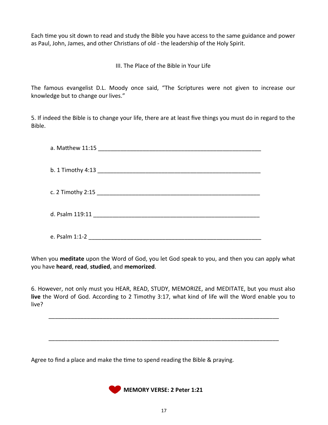Each time you sit down to read and study the Bible you have access to the same guidance and power as Paul, John, James, and other Christians of old - the leadership of the Holy Spirit.

III. The Place of the Bible in Your Life

The famous evangelist D.L. Moody once said, "The Scriptures were not given to increase our knowledge but to change our lives."

5. If indeed the Bible is to change your life, there are at least five things you must do in regard to the Bible.

| e. Psalm 1:1-2 |
|----------------|

When you **meditate** upon the Word of God, you let God speak to you, and then you can apply what you have **heard**, **read**, **studied**, and **memorized**.

6. However, not only must you HEAR, READ, STUDY, MEMORIZE, and MEDITATE, but you must also **live** the Word of God. According to 2 Timothy 3:17, what kind of life will the Word enable you to live?

\_\_\_\_\_\_\_\_\_\_\_\_\_\_\_\_\_\_\_\_\_\_\_\_\_\_\_\_\_\_\_\_\_\_\_\_\_\_\_\_\_\_\_\_\_\_\_\_\_\_\_\_\_\_\_\_\_\_\_\_\_\_\_\_\_\_\_\_\_\_\_\_

\_\_\_\_\_\_\_\_\_\_\_\_\_\_\_\_\_\_\_\_\_\_\_\_\_\_\_\_\_\_\_\_\_\_\_\_\_\_\_\_\_\_\_\_\_\_\_\_\_\_\_\_\_\_\_\_\_\_\_\_\_\_\_\_\_\_\_\_\_\_\_\_

Agree to find a place and make the time to spend reading the Bible & praying.

**MEMORY VERSE: 2 Peter 1:21**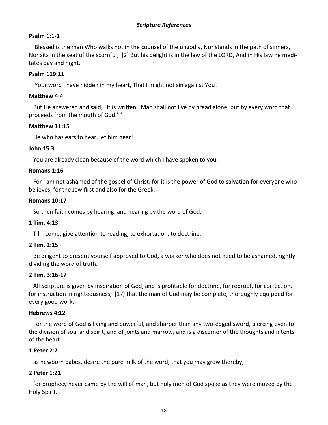#### *Scripture References*

#### **Psalm 1:1-2**

 Blessed is the man Who walks not in the counsel of the ungodly, Nor stands in the path of sinners, Nor sits in the seat of the scornful; [2] But his delight is in the law of the LORD, And in His law he meditates day and night.

#### **Psalm 119:11**

Your word I have hidden in my heart, That I might not sin against You!

#### **Matthew 4:4**

 But He answered and said, "It is written, 'Man shall not live by bread alone, but by every word that proceeds from the mouth of God.' "

#### **Matthew 11:15**

He who has ears to hear, let him hear!

#### **John 15:3**

You are already clean because of the word which I have spoken to you.

#### **Romans 1:16**

 For I am not ashamed of the gospel of Christ, for it is the power of God to salvation for everyone who believes, for the Jew first and also for the Greek.

#### **Romans 10:17**

So then faith comes by hearing, and hearing by the word of God.

#### **1 Tim. 4:13**

Till I come, give attention to reading, to exhortation, to doctrine.

#### **2 Tim. 2:15**

 Be diligent to present yourself approved to God, a worker who does not need to be ashamed, rightly dividing the word of truth.

#### **2 Tim. 3:16-17**

 All Scripture is given by inspiration of God, and is profitable for doctrine, for reproof, for correction, for instruction in righteousness, [17] that the man of God may be complete, thoroughly equipped for every good work.

#### **Hebrews 4:12**

 For the word of God is living and powerful, and sharper than any two-edged sword, piercing even to the division of soul and spirit, and of joints and marrow, and is a discerner of the thoughts and intents of the heart.

#### **1 Peter 2:2**

as newborn babes, desire the pure milk of the word, that you may grow thereby,

#### **2 Peter 1:21**

 for prophecy never came by the will of man, but holy men of God spoke as they were moved by the Holy Spirit.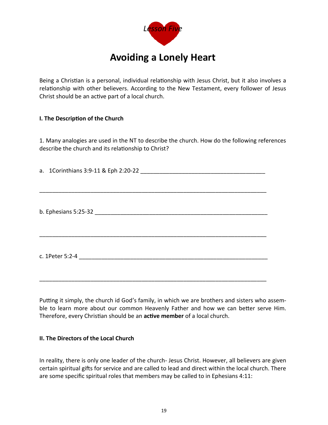

Being a Christian is a personal, individual relationship with Jesus Christ, but it also involves a relationship with other believers. According to the New Testament, every follower of Jesus Christ should be an active part of a local church.

#### **I. The Description of the Church**

1. Many analogies are used in the NT to describe the church. How do the following references describe the church and its relationship to Christ?

a. 1Corinthians 3:9-11 & Eph 2:20-22

| b. Ephesians 5:25-32 |
|----------------------|
|                      |

\_\_\_\_\_\_\_\_\_\_\_\_\_\_\_\_\_\_\_\_\_\_\_\_\_\_\_\_\_\_\_\_\_\_\_\_\_\_\_\_\_\_\_\_\_\_\_\_\_\_\_\_\_\_\_\_\_\_\_\_\_\_\_\_\_\_\_\_\_\_\_

\_\_\_\_\_\_\_\_\_\_\_\_\_\_\_\_\_\_\_\_\_\_\_\_\_\_\_\_\_\_\_\_\_\_\_\_\_\_\_\_\_\_\_\_\_\_\_\_\_\_\_\_\_\_\_\_\_\_\_\_\_\_\_\_\_\_\_\_\_\_\_

c. 1Peter 5:2-4 \_\_\_\_\_\_\_\_\_\_\_\_\_\_\_\_\_\_\_\_\_\_\_\_\_\_\_\_\_\_\_\_\_\_\_\_\_\_\_\_\_\_\_\_\_\_\_\_\_\_\_\_\_\_\_\_\_\_\_

\_\_\_\_\_\_\_\_\_\_\_\_\_\_\_\_\_\_\_\_\_\_\_\_\_\_\_\_\_\_\_\_\_\_\_\_\_\_\_\_\_\_\_\_\_\_\_\_\_\_\_\_\_\_\_\_\_\_\_\_\_\_\_\_\_\_\_\_\_\_\_

Putting it simply, the church id God's family, in which we are brothers and sisters who assemble to learn more about our common Heavenly Father and how we can better serve Him. Therefore, every Christian should be an **active member** of a local church.

#### **II. The Directors of the Local Church**

In reality, there is only one leader of the church- Jesus Christ. However, all believers are given certain spiritual gifts for service and are called to lead and direct within the local church. There are some specific spiritual roles that members may be called to in Ephesians 4:11: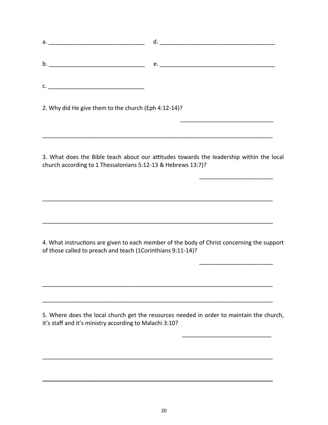| b.                                                   |  |
|------------------------------------------------------|--|
|                                                      |  |
|                                                      |  |
|                                                      |  |
| 2. Why did He give them to the church (Eph 4:12-14)? |  |

 $\overline{\phantom{a}}$  , and the contract of the contract of the contract of the contract of the contract of the contract of the contract of the contract of the contract of the contract of the contract of the contract of the contrac

\_\_\_\_\_\_\_\_\_\_\_\_\_\_\_\_\_\_\_\_\_\_\_\_\_\_\_\_\_\_\_\_\_\_\_\_\_\_\_\_\_\_\_\_\_\_\_\_\_\_\_\_\_\_\_\_\_\_\_\_\_\_\_\_\_\_\_\_\_\_\_\_

 $\overline{\phantom{a}}$  , and the contract of the contract of the contract of the contract of the contract of the contract of the contract of the contract of the contract of the contract of the contract of the contract of the contrac

\_\_\_\_\_\_\_\_\_\_\_\_\_\_\_\_\_\_\_\_\_\_\_\_\_\_\_\_\_\_\_\_\_\_\_\_\_\_\_\_\_\_\_\_\_\_\_\_\_\_\_\_\_\_\_\_\_\_\_\_\_\_\_\_\_\_\_\_\_\_\_\_

\_\_\_\_\_\_\_\_\_\_\_\_\_\_\_\_\_\_\_\_\_\_\_\_\_\_\_\_\_\_\_\_\_\_\_\_\_\_\_\_\_\_\_\_\_\_\_\_\_\_\_\_\_\_\_\_\_\_\_\_\_\_\_\_\_\_\_\_\_\_\_\_

 $\overline{\phantom{a}}$  , and the contract of the contract of the contract of the contract of the contract of the contract of the contract of the contract of the contract of the contract of the contract of the contract of the contrac

\_\_\_\_\_\_\_\_\_\_\_\_\_\_\_\_\_\_\_\_\_\_\_\_\_\_\_\_\_\_\_\_\_\_\_\_\_\_\_\_\_\_\_\_\_\_\_\_\_\_\_\_\_\_\_\_\_\_\_\_\_\_\_\_\_\_\_\_\_\_\_\_

\_\_\_\_\_\_\_\_\_\_\_\_\_\_\_\_\_\_\_\_\_\_\_\_\_\_\_\_\_\_\_\_\_\_\_\_\_\_\_\_\_\_\_\_\_\_\_\_\_\_\_\_\_\_\_\_\_\_\_\_\_\_\_\_\_\_\_\_\_\_\_\_

 $\overline{\phantom{a}}$  , and the contract of the contract of the contract of the contract of the contract of the contract of the contract of the contract of the contract of the contract of the contract of the contract of the contrac

\_\_\_\_\_\_\_\_\_\_\_\_\_\_\_\_\_\_\_\_\_\_\_\_\_\_\_\_\_\_\_\_\_\_\_\_\_\_\_\_\_\_\_\_\_\_\_\_\_\_\_\_\_\_\_\_\_\_\_\_\_\_\_\_\_\_\_\_\_\_\_\_

**\_\_\_\_\_\_\_\_\_\_\_\_\_\_\_\_\_\_\_\_\_\_\_\_\_\_\_\_\_\_\_\_\_\_\_\_\_\_\_\_\_\_\_\_\_\_\_\_\_\_\_\_\_\_\_\_\_\_\_\_\_\_\_\_\_\_\_\_\_\_\_\_**

3. What does the Bible teach about our attitudes towards the leadership within the local church according to 1 Thessalonians 5:12-13 & Hebrews 13:7)?

4. What instructions are given to each member of the body of Christ concerning the support of those called to preach and teach (1Corinthians 9:11-14)?

5. Where does the local church get the resources needed in order to maintain the church, it's staff and it's ministry according to Malachi 3:10?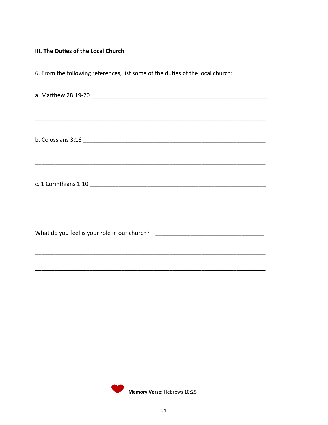#### III. The Duties of the Local Church

6. From the following references, list some of the duties of the local church:

| What do you feel is your role in our church? ___________________________________ |
|----------------------------------------------------------------------------------|
|                                                                                  |
|                                                                                  |

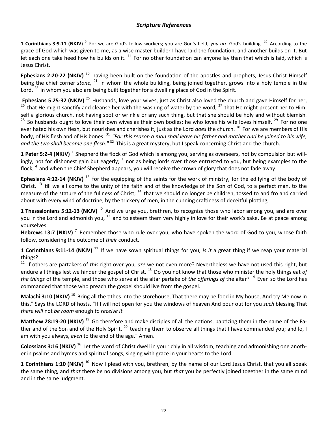#### *Scripture References*

**1 Corinthians 3:9-11 (NKJV)** <sup>9</sup> For we are God's fellow workers; you are God's field, *you are* God's building. <sup>10</sup> According to the grace of God which was given to me, as a wise master builder I have laid the foundation, and another builds on it. But let each one take heed how he builds on it.  $^{11}$  For no other foundation can anyone lay than that which is laid, which is Jesus Christ.

**Ephesians 2:20-22 (NKJV)**<sup>20</sup> having been built on the foundation of the apostles and prophets, Jesus Christ Himself being the chief corner *stone*, <sup>21</sup> in whom the whole building, being joined together, grows into a holy temple in the Lord,  $^{22}$  in whom you also are being built together for a dwelling place of God in the Spirit.

**Ephesians 5:25-32 (NKJV)**<sup>25</sup> Husbands, love your wives, just as Christ also loved the church and gave Himself for her, <sup>26</sup>that He might sanctify and cleanse her with the washing of water by the word, <sup>27</sup> that He might present her to Himself a glorious church, not having spot or wrinkle or any such thing, but that she should be holy and without blemish.  $28$  So husbands ought to love their own wives as their own bodies; he who loves his wife loves himself.  $29$  For no one ever hated his own flesh, but nourishes and cherishes it, just as the Lord *does* the church.<sup>30</sup> For we are members of His body, of His flesh and of His bones.<sup>31</sup> "For this reason a man shall leave his father and mother and be joined to his wife, and the two shall become one flesh."<sup>32</sup> This is a great mystery, but I speak concerning Christ and the church.

**1 Peter 5:2-4 (NKJV)** <sup>2</sup> Shepherd the flock of God which is among you, serving as overseers, not by compulsion but willingly, not for dishonest gain but eagerly; <sup>3</sup> nor as being lords over those entrusted to you, but being examples to the flock;  $^4$  and when the Chief Shepherd appears, you will receive the crown of glory that does not fade away.

**Ephesians 4:12-14 (NKJV)** <sup>12</sup> for the equipping of the saints for the work of ministry, for the edifying of the body of Christ,  $^{13}$  till we all come to the unity of the faith and of the knowledge of the Son of God, to a perfect man, to the measure of the stature of the fullness of Christ;  $14$  that we should no longer be children, tossed to and fro and carried about with every wind of doctrine, by the trickery of men, in the cunning craftiness of deceitful plotting,

1 Thessalonians 5:12-13 (NKJV)<sup>12</sup> And we urge you, brethren, to recognize those who labor among you, and are over you in the Lord and admonish you,  $^{13}$  and to esteem them very highly in love for their work's sake. Be at peace among yourselves.

Hebrews 13:7 (NKJV)<sup>7</sup> Remember those who rule over you, who have spoken the word of God to you, whose faith follow, considering the outcome of *their* conduct.

**1 Corinthians 9:11-14 (NKJV)** <sup>11</sup> If we have sown spiritual things for you, *is it* a great thing if we reap your material things?

<sup>12</sup> If others are partakers of *this* right over you, *are* we not even more? Nevertheless we have not used this right, but endure all things lest we hinder the gospel of Christ.<sup>13</sup> Do you not know that those who minister the holy things eat *of the things* of the temple, and those who serve at the altar partake of *the offerings of* the altar?<sup>14</sup> Even so the Lord has commanded that those who preach the gospel should live from the gospel.

**Malachi 3:10 (NKJV)** <sup>10</sup> Bring all the tithes into the storehouse, That there may be food in My house, And try Me now in this," Says the LORD of hosts, "If I will not open for you the windows of heaven And pour out for you *such* blessing That *there will* not *be room* enough *to receive it.*

**Matthew 28:19-20 (NKJV)**<sup>19</sup> Go therefore and make disciples of all the nations, baptizing them in the name of the Father and of the Son and of the Holy Spirit,  $^{20}$  teaching them to observe all things that I have commanded you; and lo, I am with you always, *even* to the end of the age." Amen.

**Colossians 3:16 (NKJV)** <sup>16</sup> Let the word of Christ dwell in you richly in all wisdom, teaching and admonishing one another in psalms and hymns and spiritual songs, singing with grace in your hearts to the Lord.

**1 Corinthians 1:10 (NKJV)** <sup>10</sup> Now I plead with you, brethren, by the name of our Lord Jesus Christ, that you all speak the same thing, and *that* there be no divisions among you, but *that* you be perfectly joined together in the same mind and in the same judgment.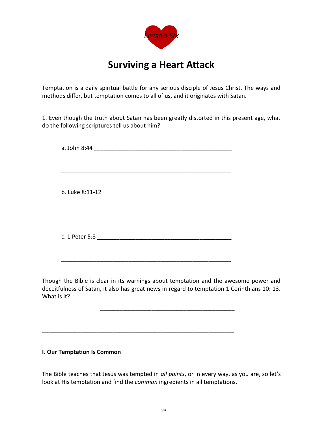

## **Surviving a Heart Attack**

Temptation is a daily spiritual battle for any serious disciple of Jesus Christ. The ways and methods differ, but temptation comes to all of us, and it originates with Satan.

1. Even though the truth about Satan has been greatly distorted in this present age, what do the following scriptures tell us about him?

Though the Bible is clear in its warnings about temptation and the awesome power and deceitfulness of Satan, it also has great news in regard to temptation 1 Corinthians 10: 13. What is it?

\_\_\_\_\_\_\_\_\_\_\_\_\_\_\_\_\_\_\_\_\_\_\_\_\_\_\_\_\_\_\_\_\_\_\_\_\_\_\_\_\_\_

\_\_\_\_\_\_\_\_\_\_\_\_\_\_\_\_\_\_\_\_\_\_\_\_\_\_\_\_\_\_\_\_\_\_\_\_\_\_\_\_\_\_\_\_\_\_\_\_\_\_\_\_\_\_\_\_\_\_\_\_

#### **I. Our Temptation Is Common**

The Bible teaches that Jesus was tempted in *all points*, or in every way, as you are, so let's look at His temptation and find the *common* ingredients in all temptations.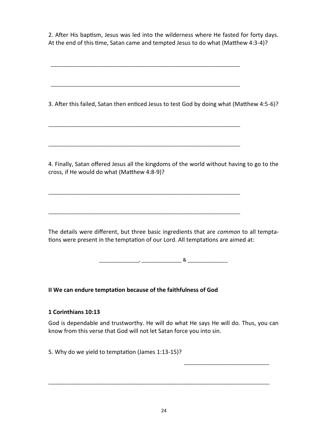2. After His baptism, Jesus was led into the wilderness where He fasted for forty days. At the end of this time, Satan came and tempted Jesus to do what (Matthew 4:3-4)?

\_\_\_\_\_\_\_\_\_\_\_\_\_\_\_\_\_\_\_\_\_\_\_\_\_\_\_\_\_\_\_\_\_\_\_\_\_\_\_\_\_\_\_\_\_\_\_\_\_\_\_\_\_\_\_\_\_\_\_\_\_\_\_\_\_\_\_\_\_\_\_

\_\_\_\_\_\_\_\_\_\_\_\_\_\_\_\_\_\_\_\_\_\_\_\_\_\_\_\_\_\_\_\_\_\_\_\_\_\_\_\_\_\_\_\_\_\_\_\_\_\_\_\_\_\_\_\_\_\_\_\_\_\_\_\_\_\_\_\_\_\_\_

\_\_\_\_\_\_\_\_\_\_\_\_\_\_\_\_\_\_\_\_\_\_\_\_\_\_\_\_\_\_\_\_\_\_\_\_\_\_\_\_\_\_\_\_\_\_\_\_\_\_\_\_\_\_\_\_\_\_\_\_\_\_\_\_\_\_\_\_\_\_\_\_

\_\_\_\_\_\_\_\_\_\_\_\_\_\_\_\_\_\_\_\_\_\_\_\_\_\_\_\_\_\_\_\_\_\_\_\_\_\_\_\_\_\_\_\_\_\_\_\_\_\_\_\_\_\_\_\_\_\_\_\_\_\_\_\_\_\_\_\_\_\_\_\_

\_\_\_\_\_\_\_\_\_\_\_\_\_\_\_\_\_\_\_\_\_\_\_\_\_\_\_\_\_\_\_\_\_\_\_\_\_\_\_\_\_\_\_\_\_\_\_\_\_\_\_\_\_\_\_\_\_\_\_\_\_\_\_\_\_\_\_\_\_\_\_\_

\_\_\_\_\_\_\_\_\_\_\_\_\_\_\_\_\_\_\_\_\_\_\_\_\_\_\_\_\_\_\_\_\_\_\_\_\_\_\_\_\_\_\_\_\_\_\_\_\_\_\_\_\_\_\_\_\_\_\_\_\_\_\_\_\_\_\_\_\_\_\_\_

3. After this failed, Satan then enticed Jesus to test God by doing what (Matthew 4:5-6)?

4. Finally, Satan offered Jesus all the kingdoms of the world without having to go to the cross, if He would do what (Matthew 4:8-9)?

The details were different, but three basic ingredients that are *common* to all temptations were present in the temptation of our Lord. All temptations are aimed at:

\_\_\_\_\_\_\_\_\_\_\_\_\_\_\_, \_\_\_\_\_\_\_\_\_\_\_\_\_\_\_ & \_\_\_\_\_\_\_\_\_\_\_\_\_\_\_

**II We can endure temptation because of the faithfulness of God**

#### **1 Corinthians 10:13**

God is dependable and trustworthy. He will do what He says He will do. Thus, you can know from this verse that God will not let Satan force you into sin.

 $\overline{\phantom{a}}$  , and the contract of the contract of the contract of the contract of the contract of the contract of the contract of the contract of the contract of the contract of the contract of the contract of the contrac

\_\_\_\_\_\_\_\_\_\_\_\_\_\_\_\_\_\_\_\_\_\_\_\_\_\_\_\_\_\_\_\_\_\_\_\_\_\_\_\_\_\_\_\_\_\_\_\_\_\_\_\_\_\_\_\_\_\_\_\_\_\_\_\_\_\_\_\_\_\_\_\_\_\_\_\_\_\_\_\_\_\_\_

5. Why do we yield to temptation (James 1:13-15)?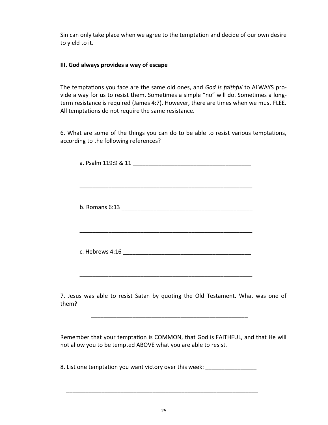Sin can only take place when we agree to the temptation and decide of our own desire to yield to it.

#### **III. God always provides a way of escape**

The temptations you face are the same old ones, and *God is faithful* to ALWAYS provide a way for us to resist them. Sometimes a simple "no" will do. Sometimes a longterm resistance is required (James 4:7). However, there are times when we must FLEE. All temptations do not require the same resistance.

6. What are some of the things you can do to be able to resist various temptations, according to the following references?

7. Jesus was able to resist Satan by quoting the Old Testament. What was one of them?

Remember that your temptation is COMMON, that God is FAITHFUL, and that He will not allow you to be tempted ABOVE what you are able to resist.

8. List one temptation you want victory over this week:

\_\_\_\_\_\_\_\_\_\_\_\_\_\_\_\_\_\_\_\_\_\_\_\_\_\_\_\_\_\_\_\_\_\_\_\_\_\_\_\_\_\_\_\_\_\_\_\_\_\_\_\_\_\_\_\_\_\_\_\_

\_\_\_\_\_\_\_\_\_\_\_\_\_\_\_\_\_\_\_\_\_\_\_\_\_\_\_\_\_\_\_\_\_\_\_\_\_\_\_\_\_\_\_\_\_\_\_\_\_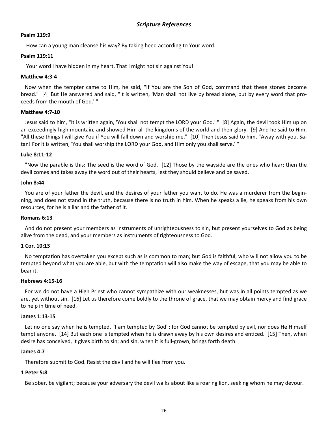#### *Scripture References*

#### **Psalm 119:9**

How can a young man cleanse his way? By taking heed according to Your word.

#### **Psalm 119:11**

Your word I have hidden in my heart, That I might not sin against You!

#### **Matthew 4:3-4**

 Now when the tempter came to Him, he said, "If You are the Son of God, command that these stones become bread." [4] But He answered and said, "It is written, 'Man shall not live by bread alone, but by every word that proceeds from the mouth of God.' "

#### **Matthew 4:7-10**

 Jesus said to him, "It is written again, 'You shall not tempt the LORD your God.' " [8] Again, the devil took Him up on an exceedingly high mountain, and showed Him all the kingdoms of the world and their glory. [9] And he said to Him, "All these things I will give You if You will fall down and worship me." [10] Then Jesus said to him, "Away with you, Satan! For it is written, 'You shall worship the LORD your God, and Him only you shall serve.' "

#### **Luke 8:11-12**

 "Now the parable is this: The seed is the word of God. [12] Those by the wayside are the ones who hear; then the devil comes and takes away the word out of their hearts, lest they should believe and be saved.

#### **John 8:44**

 You are of your father the devil, and the desires of your father you want to do. He was a murderer from the beginning, and does not stand in the truth, because there is no truth in him. When he speaks a lie, he speaks from his own resources, for he is a liar and the father of it.

#### **Romans 6:13**

 And do not present your members as instruments of unrighteousness to sin, but present yourselves to God as being alive from the dead, and your members as instruments of righteousness to God.

#### **1 Cor. 10:13**

 No temptation has overtaken you except such as is common to man; but God is faithful, who will not allow you to be tempted beyond what you are able, but with the temptation will also make the way of escape, that you may be able to bear it.

#### **Hebrews 4:15-16**

 For we do not have a High Priest who cannot sympathize with our weaknesses, but was in all points tempted as we are, yet without sin. [16] Let us therefore come boldly to the throne of grace, that we may obtain mercy and find grace to help in time of need.

#### **James 1:13-15**

Let no one say when he is tempted, "I am tempted by God"; for God cannot be tempted by evil, nor does He Himself tempt anyone. [14] But each one is tempted when he is drawn away by his own desires and enticed. [15] Then, when desire has conceived, it gives birth to sin; and sin, when it is full-grown, brings forth death.

#### **James 4:7**

Therefore submit to God. Resist the devil and he will flee from you.

#### **1 Peter 5:8**

Be sober, be vigilant; because your adversary the devil walks about like a roaring lion, seeking whom he may devour.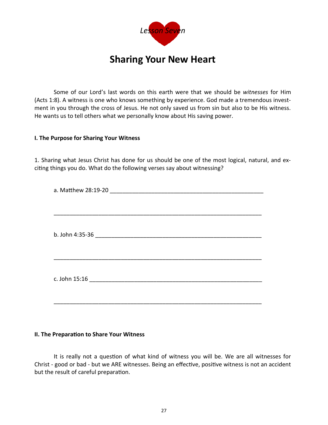

## **Sharing Your New Heart**

Some of our Lord's last words on this earth were that we should be *witnesses* for Him (Acts 1:8). A witness is one who knows something by experience. God made a tremendous investment in you through the cross of Jesus. He not only saved us from sin but also to be His witness. He wants us to tell others what we personally know about His saving power.

#### **I. The Purpose for Sharing Your Witness**

1. Sharing what Jesus Christ has done for us should be one of the most logical, natural, and exciting things you do. What do the following verses say about witnessing?

#### **II. The Preparation to Share Your Witness**

It is really not a question of what kind of witness you will be. We are all witnesses for Christ - good or bad - but we ARE witnesses. Being an effective, positive witness is not an accident but the result of careful preparation.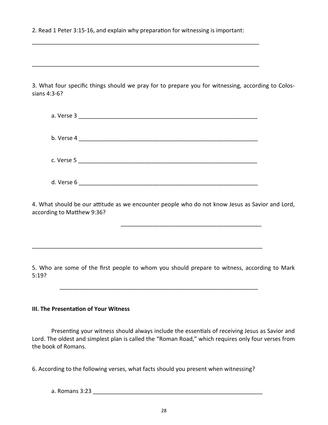2. Read 1 Peter 3:15-16, and explain why preparation for witnessing is important:

\_\_\_\_\_\_\_\_\_\_\_\_\_\_\_\_\_\_\_\_\_\_\_\_\_\_\_\_\_\_\_\_\_\_\_\_\_\_\_\_\_\_\_\_\_\_\_\_\_\_\_\_\_\_\_\_\_\_\_\_\_\_\_\_\_\_\_\_\_\_\_

\_\_\_\_\_\_\_\_\_\_\_\_\_\_\_\_\_\_\_\_\_\_\_\_\_\_\_\_\_\_\_\_\_\_\_\_\_\_\_\_\_\_\_\_\_\_\_\_\_\_\_\_\_\_\_\_\_\_\_\_\_\_\_\_\_\_\_\_\_\_\_

3. What four specific things should we pray for to prepare you for witnessing, according to Colossians 4:3-6?

| b. Verse 4 |  |  |
|------------|--|--|
| c. Verse 5 |  |  |
| d. Verse 6 |  |  |

4. What should be our attitude as we encounter people who do not know Jesus as Savior and Lord, according to Matthew 9:36?

\_\_\_\_\_\_\_\_\_\_\_\_\_\_\_\_\_\_\_\_\_\_\_\_\_\_\_\_\_\_\_\_\_\_\_\_\_\_\_\_\_\_\_\_

\_\_\_\_\_\_\_\_\_\_\_\_\_\_\_\_\_\_\_\_\_\_\_\_\_\_\_\_\_\_\_\_\_\_\_\_\_\_\_\_\_\_\_\_\_\_\_\_\_\_\_\_\_\_\_\_\_\_\_\_\_\_\_\_\_\_\_\_\_\_\_\_

\_\_\_\_\_\_\_\_\_\_\_\_\_\_\_\_\_\_\_\_\_\_\_\_\_\_\_\_\_\_\_\_\_\_\_\_\_\_\_\_\_\_\_\_\_\_\_\_\_\_\_\_\_\_\_\_\_\_\_\_\_\_

5. Who are some of the first people to whom you should prepare to witness, according to Mark 5:19?

#### **III. The Presentation of Your Witness**

Presenting your witness should always include the essentials of receiving Jesus as Savior and Lord. The oldest and simplest plan is called the "Roman Road," which requires only four verses from the book of Romans.

6. According to the following verses, what facts should you present when witnessing?

a. Romans 3:23 \_\_\_\_\_\_\_\_\_\_\_\_\_\_\_\_\_\_\_\_\_\_\_\_\_\_\_\_\_\_\_\_\_\_\_\_\_\_\_\_\_\_\_\_\_\_\_\_\_\_\_\_\_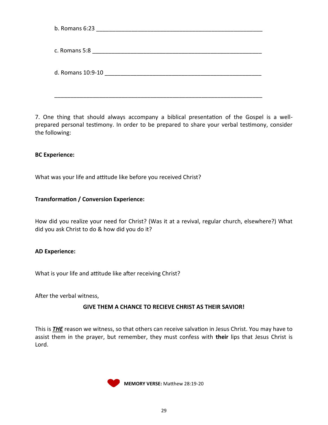| b. Romans 6:23    |
|-------------------|
| c. Romans 5:8     |
| d. Romans 10:9-10 |
|                   |

7. One thing that should always accompany a biblical presentation of the Gospel is a wellprepared personal testimony. In order to be prepared to share your verbal testimony, consider the following:

#### **BC Experience:**

What was your life and attitude like before you received Christ?

#### **Transformation / Conversion Experience:**

How did you realize your need for Christ? (Was it at a revival, regular church, elsewhere?) What did you ask Christ to do & how did you do it?

#### **AD Experience:**

What is your life and attitude like after receiving Christ?

After the verbal witness,

#### **GIVE THEM A CHANCE TO RECIEVE CHRIST AS THEIR SAVIOR!**

This is *THE* reason we witness, so that others can receive salvation in Jesus Christ. You may have to assist them in the prayer, but remember, they must confess with **their** lips that Jesus Christ is Lord.



**MEMORY VERSE:** Matthew 28:19-20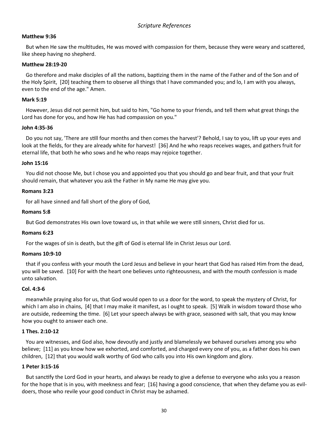#### **Matthew 9:36**

 But when He saw the multitudes, He was moved with compassion for them, because they were weary and scattered, like sheep having no shepherd.

#### **Matthew 28:19-20**

 Go therefore and make disciples of all the nations, baptizing them in the name of the Father and of the Son and of the Holy Spirit, [20] teaching them to observe all things that I have commanded you; and lo, I am with you always, even to the end of the age." Amen.

#### **Mark 5:19**

 However, Jesus did not permit him, but said to him, "Go home to your friends, and tell them what great things the Lord has done for you, and how He has had compassion on you."

#### **John 4:35-36**

 Do you not say, 'There are still four months and then comes the harvest'? Behold, I say to you, lift up your eyes and look at the fields, for they are already white for harvest! [36] And he who reaps receives wages, and gathers fruit for eternal life, that both he who sows and he who reaps may rejoice together.

#### **John 15:16**

 You did not choose Me, but I chose you and appointed you that you should go and bear fruit, and that your fruit should remain, that whatever you ask the Father in My name He may give you.

#### **Romans 3:23**

for all have sinned and fall short of the glory of God,

#### **Romans 5:8**

But God demonstrates His own love toward us, in that while we were still sinners, Christ died for us.

#### **Romans 6:23**

For the wages of sin is death, but the gift of God is eternal life in Christ Jesus our Lord.

#### **Romans 10:9-10**

 that if you confess with your mouth the Lord Jesus and believe in your heart that God has raised Him from the dead, you will be saved. [10] For with the heart one believes unto righteousness, and with the mouth confession is made unto salvation.

#### **Col. 4:3-6**

 meanwhile praying also for us, that God would open to us a door for the word, to speak the mystery of Christ, for which I am also in chains, [4] that I may make it manifest, as I ought to speak. [5] Walk in wisdom toward those who are outside, redeeming the time. [6] Let your speech always be with grace, seasoned with salt, that you may know how you ought to answer each one.

#### **1 Thes. 2:10-12**

 You are witnesses, and God also, how devoutly and justly and blamelessly we behaved ourselves among you who believe; [11] as you know how we exhorted, and comforted, and charged every one of you, as a father does his own children, [12] that you would walk worthy of God who calls you into His own kingdom and glory.

#### **1 Peter 3:15-16**

 But sanctify the Lord God in your hearts, and always be ready to give a defense to everyone who asks you a reason for the hope that is in you, with meekness and fear; [16] having a good conscience, that when they defame you as evildoers, those who revile your good conduct in Christ may be ashamed.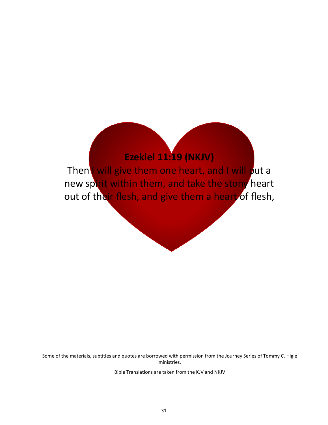## **Ezekiel 11:19 (NKJV)**

Then I will give them one heart, and I will put a new spirit within them, and take the stony heart out of their flesh, and give them a heart of flesh,

Some of the materials, subtitles and quotes are borrowed with permission from the Journey Series of Tommy C. Higle ministries.

Bible Translations are taken from the KJV and NKJV